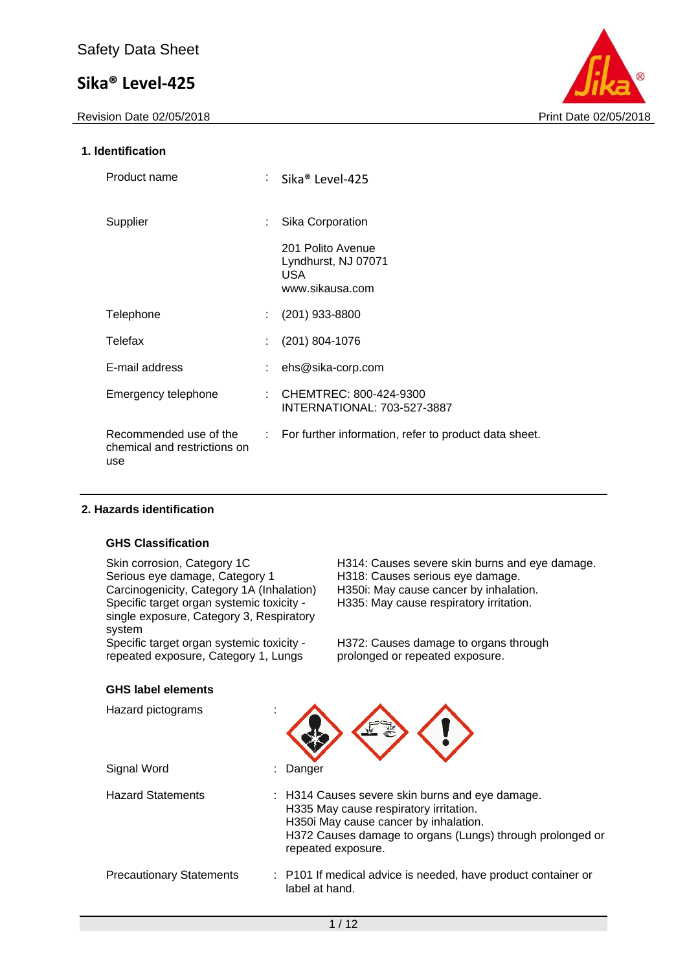

#### **1. Identification**

| Product name                                                  |                  | Sika® Level-425                                                    |
|---------------------------------------------------------------|------------------|--------------------------------------------------------------------|
| Supplier                                                      |                  | Sika Corporation                                                   |
|                                                               |                  | 201 Polito Avenue<br>Lyndhurst, NJ 07071<br>USA<br>www.sikausa.com |
| Telephone                                                     |                  | $(201)$ 933-8800                                                   |
| Telefax                                                       |                  | $(201) 804 - 1076$                                                 |
| E-mail address                                                |                  | ehs@sika-corp.com                                                  |
| Emergency telephone                                           | ÷.               | CHEMTREC: 800-424-9300<br><b>INTERNATIONAL: 703-527-3887</b>       |
| Recommended use of the<br>chemical and restrictions on<br>use | $\mathbb{R}^{n}$ | For further information, refer to product data sheet.              |

#### **2. Hazards identification**

#### **GHS Classification**

Serious eye damage, Category 1 H318: Causes serious eye damage.<br>Carcinogenicity, Category 1A (Inhalation) H350i: May cause cancer by inhalation. Carcinogenicity, Category 1A (Inhalation) Specific target organ systemic toxicity single exposure, Category 3, Respiratory system

Specific target organ systemic toxicity repeated exposure, Category 1, Lungs

Skin corrosion, Category 1C **H314:** Causes severe skin burns and eye damage. H335: May cause respiratory irritation.

> H372: Causes damage to organs through prolonged or repeated exposure.

#### **GHS label elements**

| Hazard pictograms<br>٠<br>$\overline{\phantom{a}}$ |                                                                                                                                                                                                                       |
|----------------------------------------------------|-----------------------------------------------------------------------------------------------------------------------------------------------------------------------------------------------------------------------|
| Signal Word                                        | : Danger                                                                                                                                                                                                              |
| <b>Hazard Statements</b>                           | : H314 Causes severe skin burns and eye damage.<br>H335 May cause respiratory irritation.<br>H350i May cause cancer by inhalation.<br>H372 Causes damage to organs (Lungs) through prolonged or<br>repeated exposure. |
| <b>Precautionary Statements</b>                    | : P101 If medical advice is needed, have product container or<br>label at hand.                                                                                                                                       |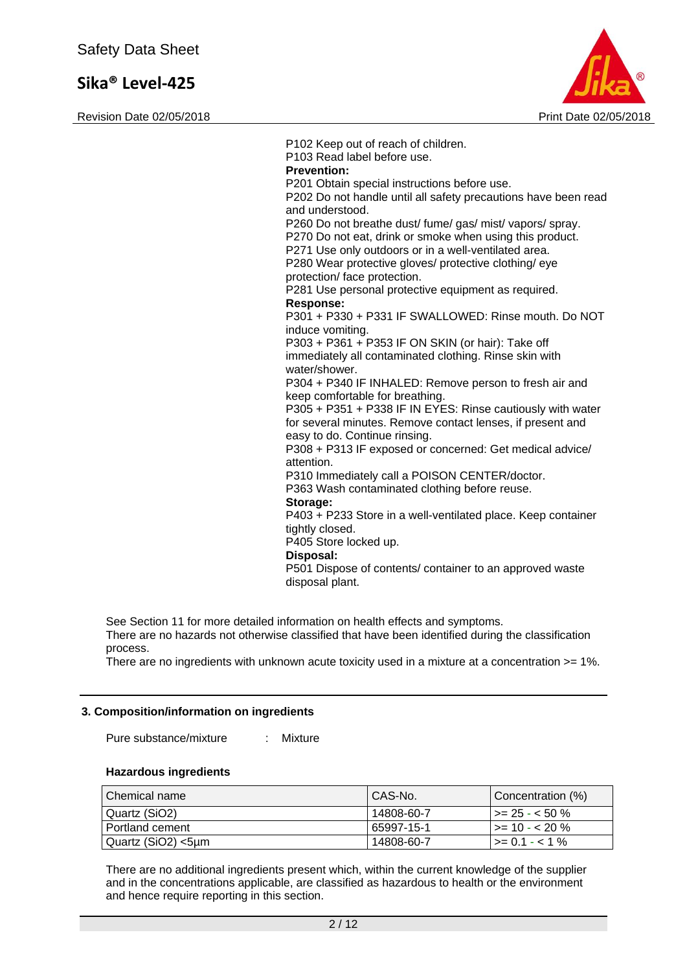Revision Date 02/05/2018 **Print Date 02/05/2018** Print Date 02/05/2018



P102 Keep out of reach of children. P103 Read label before use. **Prevention:**  P201 Obtain special instructions before use. P202 Do not handle until all safety precautions have been read and understood. P260 Do not breathe dust/ fume/ gas/ mist/ vapors/ spray. P270 Do not eat, drink or smoke when using this product. P271 Use only outdoors or in a well-ventilated area. P280 Wear protective gloves/ protective clothing/ eye protection/ face protection. P281 Use personal protective equipment as required. **Response:**  P301 + P330 + P331 IF SWALLOWED: Rinse mouth. Do NOT induce vomiting. P303 + P361 + P353 IF ON SKIN (or hair): Take off immediately all contaminated clothing. Rinse skin with water/shower. P304 + P340 IF INHALED: Remove person to fresh air and keep comfortable for breathing. P305 + P351 + P338 IF IN EYES: Rinse cautiously with water for several minutes. Remove contact lenses, if present and easy to do. Continue rinsing. P308 + P313 IF exposed or concerned: Get medical advice/ attention. P310 Immediately call a POISON CENTER/doctor. P363 Wash contaminated clothing before reuse. **Storage:**  P403 + P233 Store in a well-ventilated place. Keep container tightly closed. P405 Store locked up. **Disposal:**  P501 Dispose of contents/ container to an approved waste disposal plant.

See Section 11 for more detailed information on health effects and symptoms. There are no hazards not otherwise classified that have been identified during the classification

process.

There are no ingredients with unknown acute toxicity used in a mixture at a concentration >= 1%.

#### **3. Composition/information on ingredients**

Pure substance/mixture : Mixture

#### **Hazardous ingredients**

| Chemical name      | CAS-No.    | Concentration (%)      |
|--------------------|------------|------------------------|
| Quartz (SiO2)      | 14808-60-7 | $\vert$ >= 25 - < 50 % |
| l Portland cement  | 65997-15-1 | l >= 10 - < 20 %       |
| Quartz (SiO2) <5µm | 14808-60-7 | $1 > 0.1 - 1\%$        |

There are no additional ingredients present which, within the current knowledge of the supplier and in the concentrations applicable, are classified as hazardous to health or the environment and hence require reporting in this section.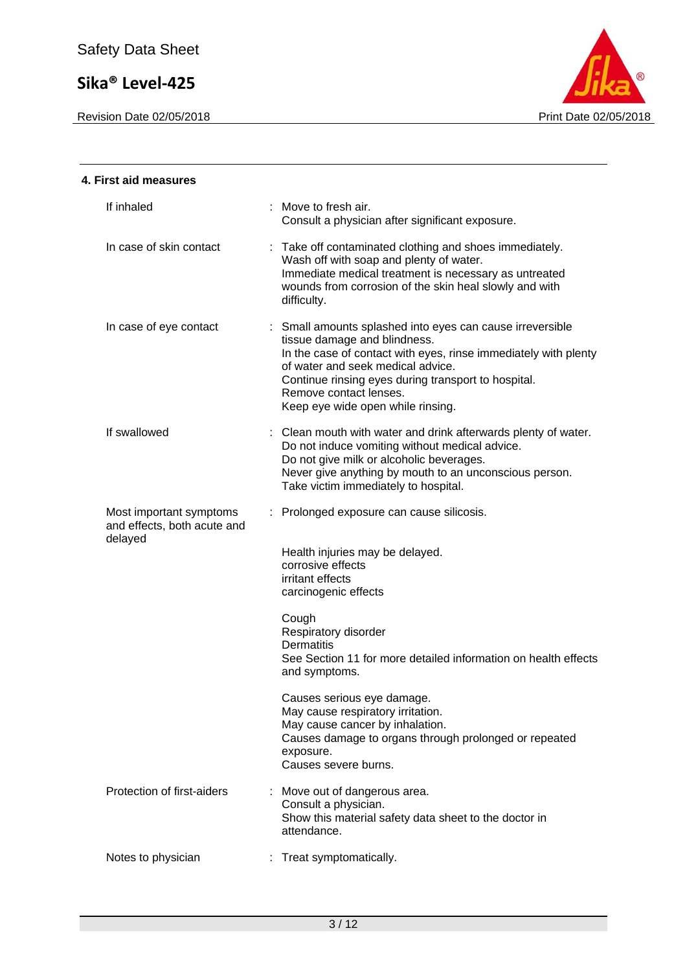

| 4. First aid measures                                             |                                                                                                                                                                                                                                                                                                                         |
|-------------------------------------------------------------------|-------------------------------------------------------------------------------------------------------------------------------------------------------------------------------------------------------------------------------------------------------------------------------------------------------------------------|
| If inhaled                                                        | : Move to fresh air.<br>Consult a physician after significant exposure.                                                                                                                                                                                                                                                 |
| In case of skin contact                                           | : Take off contaminated clothing and shoes immediately.<br>Wash off with soap and plenty of water.<br>Immediate medical treatment is necessary as untreated<br>wounds from corrosion of the skin heal slowly and with<br>difficulty.                                                                                    |
| In case of eye contact                                            | : Small amounts splashed into eyes can cause irreversible<br>tissue damage and blindness.<br>In the case of contact with eyes, rinse immediately with plenty<br>of water and seek medical advice.<br>Continue rinsing eyes during transport to hospital.<br>Remove contact lenses.<br>Keep eye wide open while rinsing. |
| If swallowed                                                      | : Clean mouth with water and drink afterwards plenty of water.<br>Do not induce vomiting without medical advice.<br>Do not give milk or alcoholic beverages.<br>Never give anything by mouth to an unconscious person.<br>Take victim immediately to hospital.                                                          |
| Most important symptoms<br>and effects, both acute and<br>delayed | : Prolonged exposure can cause silicosis.                                                                                                                                                                                                                                                                               |
|                                                                   | Health injuries may be delayed.<br>corrosive effects<br>irritant effects<br>carcinogenic effects                                                                                                                                                                                                                        |
|                                                                   | Cough<br>Respiratory disorder<br><b>Dermatitis</b><br>See Section 11 for more detailed information on health effects<br>and symptoms.                                                                                                                                                                                   |
|                                                                   | Causes serious eye damage.<br>May cause respiratory irritation.<br>May cause cancer by inhalation.<br>Causes damage to organs through prolonged or repeated<br>exposure.<br>Causes severe burns.                                                                                                                        |
| Protection of first-aiders                                        | Move out of dangerous area.<br>Consult a physician.<br>Show this material safety data sheet to the doctor in<br>attendance.                                                                                                                                                                                             |
| Notes to physician                                                | Treat symptomatically.                                                                                                                                                                                                                                                                                                  |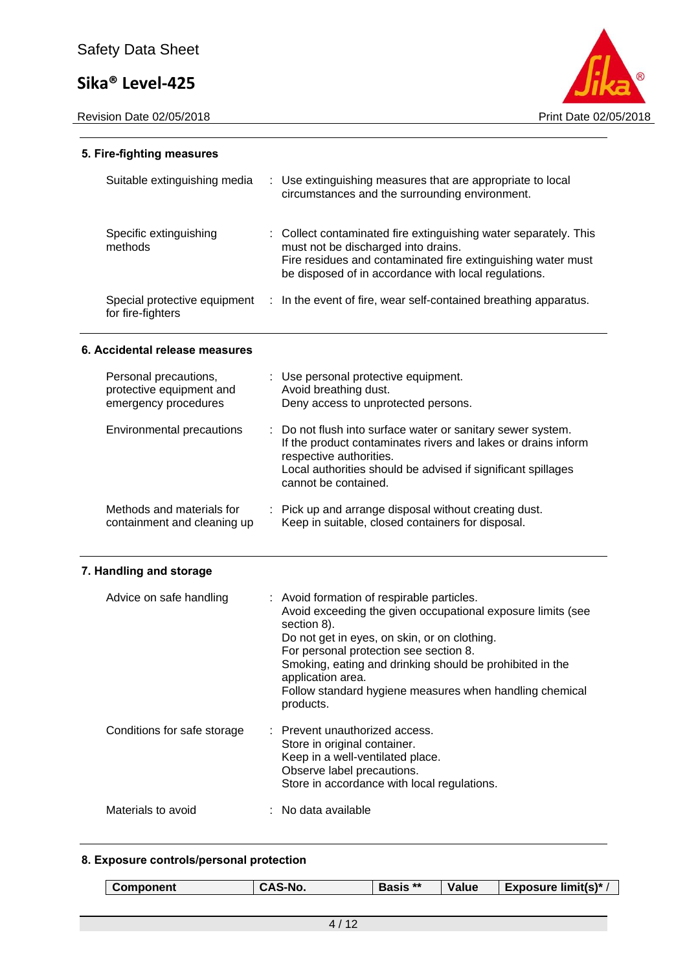Revision Date 02/05/2018 **Print Date 02/05/2018** 



#### **5. Fire-fighting measures**

| Suitable extinguishing media                      | : Use extinguishing measures that are appropriate to local<br>circumstances and the surrounding environment.                                                                                                                    |
|---------------------------------------------------|---------------------------------------------------------------------------------------------------------------------------------------------------------------------------------------------------------------------------------|
| Specific extinguishing<br>methods                 | : Collect contaminated fire extinguishing water separately. This<br>must not be discharged into drains.<br>Fire residues and contaminated fire extinguishing water must<br>be disposed of in accordance with local regulations. |
| Special protective equipment<br>for fire-fighters | : In the event of fire, wear self-contained breathing apparatus.                                                                                                                                                                |

#### **6. Accidental release measures**

| Personal precautions,       | : Use personal protective equipment.                                                                                                                                                                                                            |
|-----------------------------|-------------------------------------------------------------------------------------------------------------------------------------------------------------------------------------------------------------------------------------------------|
| protective equipment and    | Avoid breathing dust.                                                                                                                                                                                                                           |
| emergency procedures        | Deny access to unprotected persons.                                                                                                                                                                                                             |
| Environmental precautions   | : Do not flush into surface water or sanitary sewer system.<br>If the product contaminates rivers and lakes or drains inform<br>respective authorities.<br>Local authorities should be advised if significant spillages<br>cannot be contained. |
| Methods and materials for   | : Pick up and arrange disposal without creating dust.                                                                                                                                                                                           |
| containment and cleaning up | Keep in suitable, closed containers for disposal.                                                                                                                                                                                               |

### **7. Handling and storage**

| Advice on safe handling     | : Avoid formation of respirable particles.<br>Avoid exceeding the given occupational exposure limits (see<br>section 8).<br>Do not get in eyes, on skin, or on clothing.<br>For personal protection see section 8.<br>Smoking, eating and drinking should be prohibited in the<br>application area.<br>Follow standard hygiene measures when handling chemical<br>products. |
|-----------------------------|-----------------------------------------------------------------------------------------------------------------------------------------------------------------------------------------------------------------------------------------------------------------------------------------------------------------------------------------------------------------------------|
| Conditions for safe storage | : Prevent unauthorized access.<br>Store in original container.<br>Keep in a well-ventilated place.<br>Observe label precautions.<br>Store in accordance with local regulations.                                                                                                                                                                                             |
| Materials to avoid          | $:$ No data available                                                                                                                                                                                                                                                                                                                                                       |

### **8. Exposure controls/personal protection**

| . . | Component | -No.<br>AJ. | **<br><b>Basis</b> | Value | <b>Exposure limit(s)*</b> |
|-----|-----------|-------------|--------------------|-------|---------------------------|
|-----|-----------|-------------|--------------------|-------|---------------------------|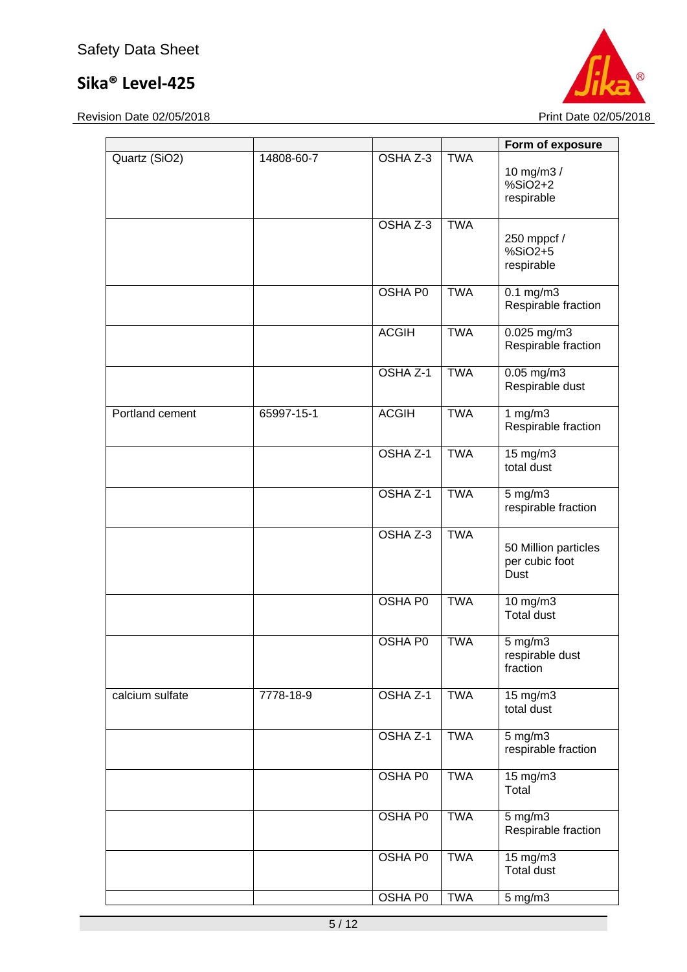

|                 |            |                |            | Form of exposure                               |
|-----------------|------------|----------------|------------|------------------------------------------------|
| Quartz (SiO2)   | 14808-60-7 | OSHA Z-3       | <b>TWA</b> | 10 mg/m3 /<br>%SiO2+2<br>respirable            |
|                 |            | OSHA Z-3       | <b>TWA</b> | 250 mppcf /<br>%SiO2+5<br>respirable           |
|                 |            | <b>OSHA P0</b> | <b>TWA</b> | $0.1$ mg/m $3$<br>Respirable fraction          |
|                 |            | <b>ACGIH</b>   | <b>TWA</b> | $0.025$ mg/m3<br>Respirable fraction           |
|                 |            | OSHA Z-1       | <b>TWA</b> | $0.05$ mg/m3<br>Respirable dust                |
| Portland cement | 65997-15-1 | <b>ACGIH</b>   | <b>TWA</b> | 1 $mg/m3$<br>Respirable fraction               |
|                 |            | OSHA Z-1       | <b>TWA</b> | $15 \text{ mg/m}$<br>total dust                |
|                 |            | OSHA Z-1       | <b>TWA</b> | $5$ mg/m $3$<br>respirable fraction            |
|                 |            | OSHA Z-3       | <b>TWA</b> | 50 Million particles<br>per cubic foot<br>Dust |
|                 |            | <b>OSHA PO</b> | <b>TWA</b> | 10 mg/m3<br><b>Total dust</b>                  |
|                 |            | OSHA P0        | <b>TWA</b> | 5 mg/m3<br>respirable dust<br>fraction         |
| calcium sulfate | 7778-18-9  | OSHA Z-1       | <b>TWA</b> | 15 mg/m3<br>total dust                         |
|                 |            | OSHA Z-1       | <b>TWA</b> | $5$ mg/m $3$<br>respirable fraction            |
|                 |            | OSHA P0        | <b>TWA</b> | 15 mg/m3<br>Total                              |
|                 |            | <b>OSHA P0</b> | <b>TWA</b> | $5$ mg/m $3$<br>Respirable fraction            |
|                 |            | <b>OSHA P0</b> | <b>TWA</b> | $15 \text{ mg/m}$<br><b>Total dust</b>         |
|                 |            | OSHA P0        | <b>TWA</b> | $5$ mg/m $3$                                   |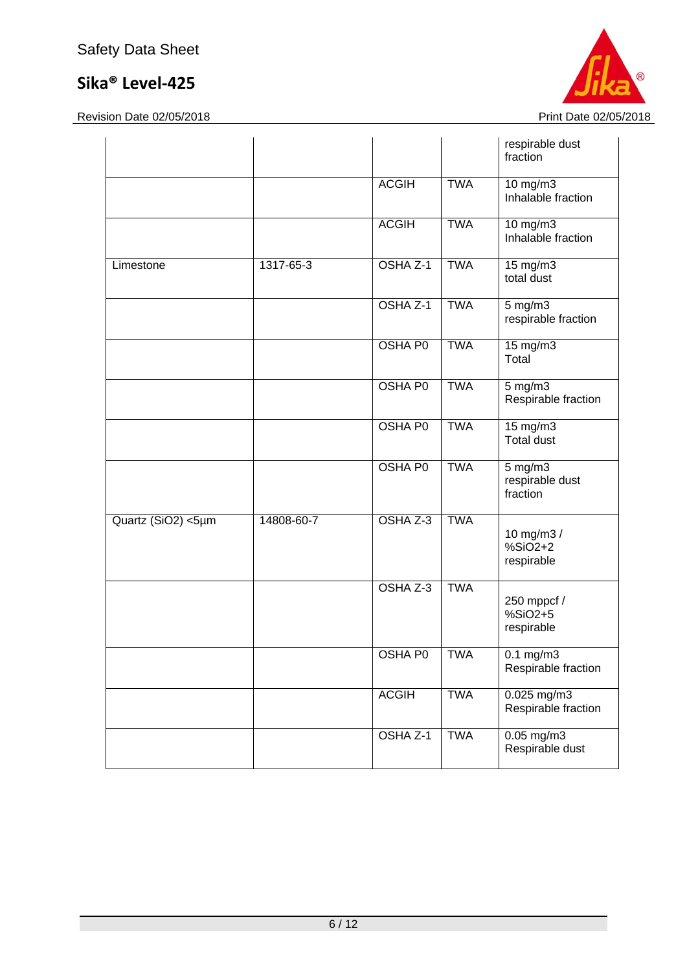

|                    |            |                |            | respirable dust<br>fraction                 |
|--------------------|------------|----------------|------------|---------------------------------------------|
|                    |            | <b>ACGIH</b>   | <b>TWA</b> | $10$ mg/m $3$<br>Inhalable fraction         |
|                    |            | <b>ACGIH</b>   | <b>TWA</b> | 10 $mg/m3$<br>Inhalable fraction            |
| Limestone          | 1317-65-3  | OSHA Z-1       | <b>TWA</b> | 15 mg/m3<br>total dust                      |
|                    |            | OSHA Z-1       | <b>TWA</b> | $5$ mg/m $3$<br>respirable fraction         |
|                    |            | <b>OSHA PO</b> | <b>TWA</b> | $15 \text{ mg/m}$<br>Total                  |
|                    |            | <b>OSHA PO</b> | <b>TWA</b> | $5$ mg/m $3$<br>Respirable fraction         |
|                    |            | <b>OSHA P0</b> | <b>TWA</b> | $15 \text{ mg/m}$<br><b>Total dust</b>      |
|                    |            | <b>OSHA PO</b> | <b>TWA</b> | $5$ mg/m $3$<br>respirable dust<br>fraction |
| Quartz (SiO2) <5µm | 14808-60-7 | OSHA Z-3       | <b>TWA</b> | 10 mg/m3 /<br>%SiO2+2<br>respirable         |
|                    |            | OSHA Z-3       | <b>TWA</b> | 250 mppcf /<br>%SiO2+5<br>respirable        |
|                    |            | OSHA P0        | <b>TWA</b> | $0.1 \text{ mg/m}$<br>Respirable fraction   |
|                    |            | <b>ACGIH</b>   | <b>TWA</b> | 0.025 mg/m3<br>Respirable fraction          |
|                    |            | OSHA Z-1       | <b>TWA</b> | $0.05$ mg/m3<br>Respirable dust             |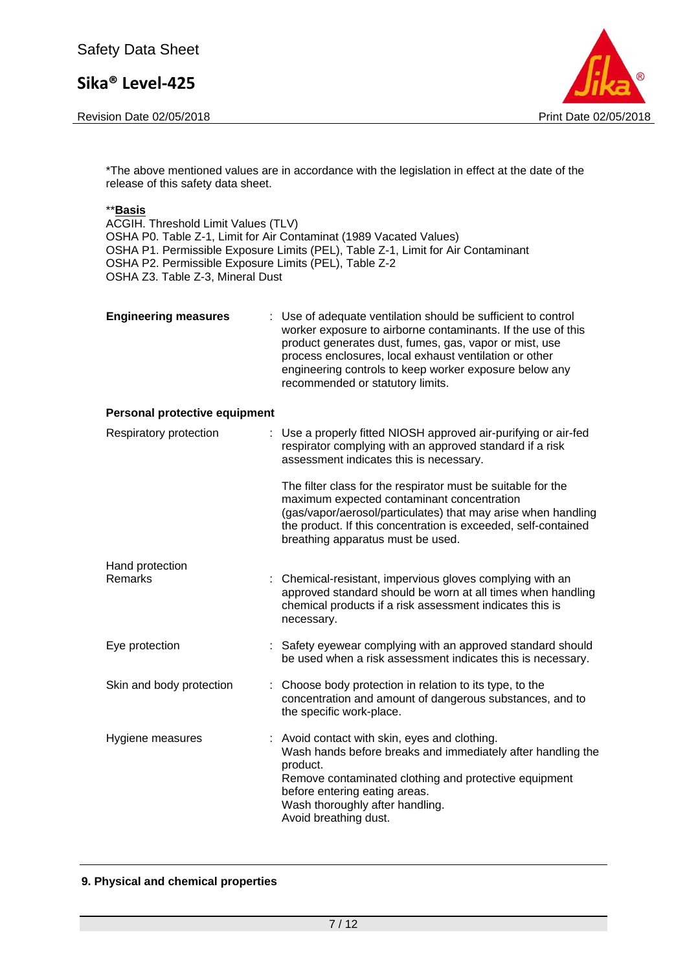Revision Date 02/05/2018 **Print Date 02/05/2018** Print Date 02/05/2018



\*The above mentioned values are in accordance with the legislation in effect at the date of the release of this safety data sheet.

ACGIH. Threshold Limit Values (TLV) OSHA P0. Table Z-1, Limit for Air Contaminat (1989 Vacated Values) OSHA P1. Permissible Exposure Limits (PEL), Table Z-1, Limit for Air Contaminant OSHA P2. Permissible Exposure Limits (PEL), Table Z-2 OSHA Z3. Table Z-3, Mineral Dust

| <b>Engineering measures</b> | : Use of adequate ventilation should be sufficient to control<br>worker exposure to airborne contaminants. If the use of this<br>product generates dust, fumes, gas, vapor or mist, use<br>process enclosures, local exhaust ventilation or other<br>engineering controls to keep worker exposure below any<br>recommended or statutory limits. |
|-----------------------------|-------------------------------------------------------------------------------------------------------------------------------------------------------------------------------------------------------------------------------------------------------------------------------------------------------------------------------------------------|
|                             |                                                                                                                                                                                                                                                                                                                                                 |

#### **Personal protective equipment**

| Respiratory protection     | : Use a properly fitted NIOSH approved air-purifying or air-fed<br>respirator complying with an approved standard if a risk<br>assessment indicates this is necessary.                                                                                                             |
|----------------------------|------------------------------------------------------------------------------------------------------------------------------------------------------------------------------------------------------------------------------------------------------------------------------------|
|                            | The filter class for the respirator must be suitable for the<br>maximum expected contaminant concentration<br>(gas/vapor/aerosol/particulates) that may arise when handling<br>the product. If this concentration is exceeded, self-contained<br>breathing apparatus must be used. |
| Hand protection<br>Remarks | : Chemical-resistant, impervious gloves complying with an<br>approved standard should be worn at all times when handling<br>chemical products if a risk assessment indicates this is<br>necessary.                                                                                 |
| Eye protection             | : Safety eyewear complying with an approved standard should<br>be used when a risk assessment indicates this is necessary.                                                                                                                                                         |
| Skin and body protection   | : Choose body protection in relation to its type, to the<br>concentration and amount of dangerous substances, and to<br>the specific work-place.                                                                                                                                   |
| Hygiene measures           | : Avoid contact with skin, eyes and clothing.<br>Wash hands before breaks and immediately after handling the<br>product.<br>Remove contaminated clothing and protective equipment<br>before entering eating areas.<br>Wash thoroughly after handling.<br>Avoid breathing dust.     |

#### **9. Physical and chemical properties**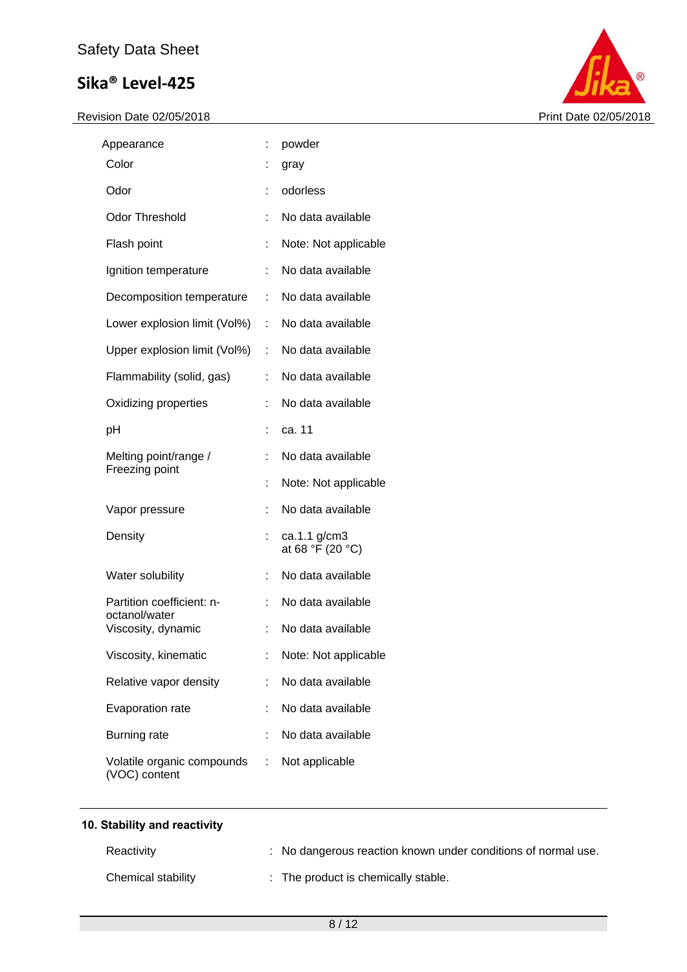

| Appearance                                  |                           | powder                           |
|---------------------------------------------|---------------------------|----------------------------------|
| Color                                       |                           | gray                             |
| Odor                                        |                           | odorless                         |
| <b>Odor Threshold</b>                       | t.                        | No data available                |
| Flash point                                 | t                         | Note: Not applicable             |
| Ignition temperature                        | t.                        | No data available                |
| Decomposition temperature                   | t.                        | No data available                |
| Lower explosion limit (Vol%)                | $\mathbb{R}^{\mathbb{Z}}$ | No data available                |
| Upper explosion limit (Vol%)                | t.                        | No data available                |
| Flammability (solid, gas)                   | t.                        | No data available                |
| Oxidizing properties                        | t.                        | No data available                |
| рH                                          |                           | ca. 11                           |
| Melting point/range /<br>Freezing point     |                           | No data available                |
|                                             |                           | Note: Not applicable             |
| Vapor pressure                              |                           | No data available                |
| Density                                     | t.                        | ca.1.1 g/cm3<br>at 68 °F (20 °C) |
| Water solubility                            |                           | No data available                |
| Partition coefficient: n-<br>octanol/water  | t.                        | No data available                |
| Viscosity, dynamic                          |                           | No data available                |
| Viscosity, kinematic                        |                           | Note: Not applicable             |
| Relative vapor density                      | t.                        | No data available                |
| Evaporation rate                            | t.                        | No data available                |
| <b>Burning rate</b>                         |                           | No data available                |
| Volatile organic compounds<br>(VOC) content | t.                        | Not applicable                   |

| 10. Stability and reactivity |  |
|------------------------------|--|
|------------------------------|--|

| Reactivity         | : No dangerous reaction known under conditions of normal use. |
|--------------------|---------------------------------------------------------------|
| Chemical stability | : The product is chemically stable.                           |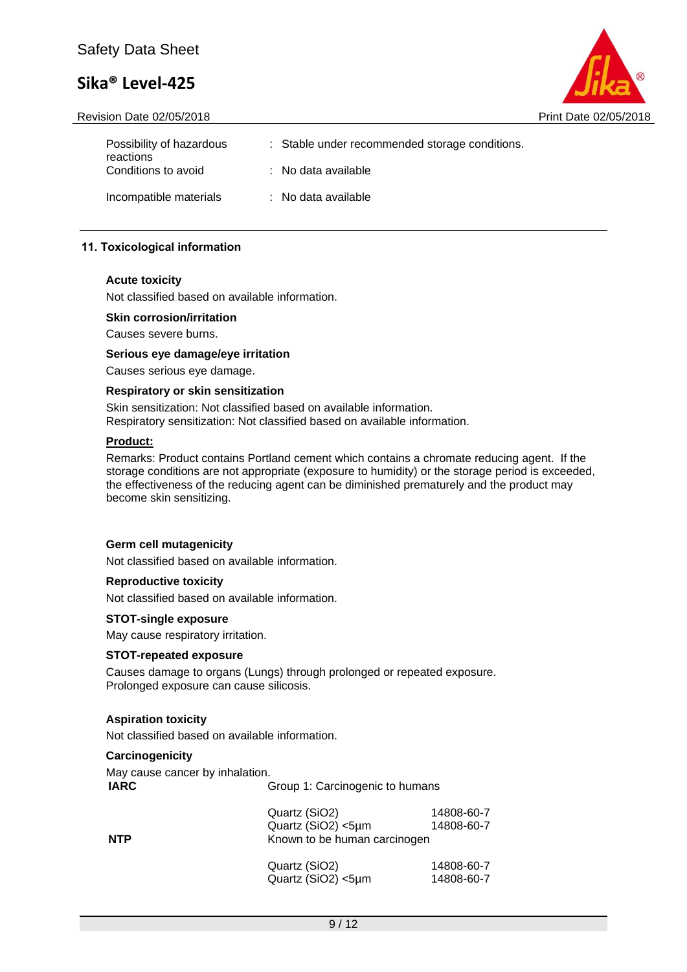Revision Date 02/05/2018 **Print Date 02/05/2018** Print Date 02/05/2018



| Possibility of hazardous<br>reactions | : Stable under recommended storage conditions. |
|---------------------------------------|------------------------------------------------|
| Conditions to avoid                   | $\therefore$ No data available                 |
| Incompatible materials                | $\therefore$ No data available                 |

### **11. Toxicological information**

#### **Acute toxicity**

Not classified based on available information.

#### **Skin corrosion/irritation**

Causes severe burns.

**Serious eye damage/eye irritation** Causes serious eye damage.

#### **Respiratory or skin sensitization**

Skin sensitization: Not classified based on available information. Respiratory sensitization: Not classified based on available information.

#### **Product:**

Remarks: Product contains Portland cement which contains a chromate reducing agent. If the storage conditions are not appropriate (exposure to humidity) or the storage period is exceeded, the effectiveness of the reducing agent can be diminished prematurely and the product may become skin sensitizing.

#### **Germ cell mutagenicity**

Not classified based on available information.

#### **Reproductive toxicity**

Not classified based on available information.

#### **STOT-single exposure**

May cause respiratory irritation.

#### **STOT-repeated exposure**

Causes damage to organs (Lungs) through prolonged or repeated exposure. Prolonged exposure can cause silicosis.

#### **Aspiration toxicity**

Not classified based on available information.

#### **Carcinogenicity**

May cause cancer by inhalation. **IARC** Group 1: Carcinogenic to humans

| <b>NTP</b> | Quartz (SiO2)<br>Quartz (SiO2) <5µm<br>Known to be human carcinogen | 14808-60-7<br>14808-60-7 |
|------------|---------------------------------------------------------------------|--------------------------|
|            | Quartz (SiO2)<br>Quartz (SiO2) <5µm                                 | 14808-60-7<br>14808-60-7 |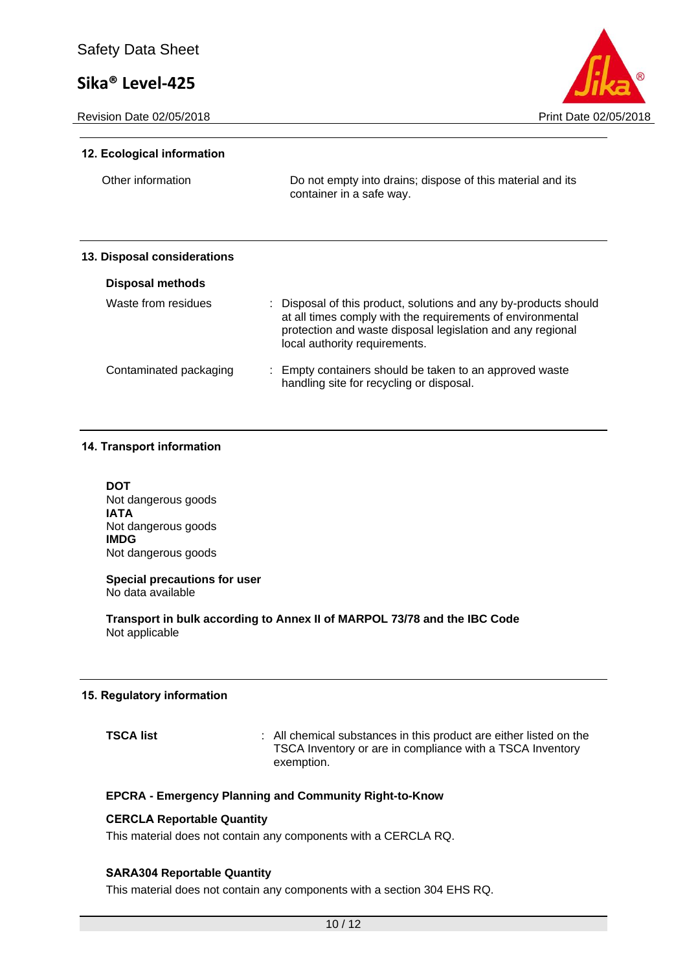Revision Date 02/05/2018 **Print Date 02/05/2018** Print Date 02/05/2018



#### **12. Ecological information**

Other information Do not empty into drains; dispose of this material and its container in a safe way.

#### **13. Disposal considerations**

| Disposal methods       |                                                                                                                                                                                                                               |
|------------------------|-------------------------------------------------------------------------------------------------------------------------------------------------------------------------------------------------------------------------------|
| Waste from residues    | : Disposal of this product, solutions and any by-products should<br>at all times comply with the requirements of environmental<br>protection and waste disposal legislation and any regional<br>local authority requirements. |
| Contaminated packaging | : Empty containers should be taken to an approved waste<br>handling site for recycling or disposal.                                                                                                                           |

#### **14. Transport information**

**DOT** Not dangerous goods **IATA** Not dangerous goods **IMDG** Not dangerous goods

#### **Special precautions for user** No data available

**Transport in bulk according to Annex II of MARPOL 73/78 and the IBC Code** Not applicable

#### **15. Regulatory information**

**TSCA list interpret in the state of the state of the state of the state of the state of the state of the state of the state of the state of the state of the state of the state of the state of the state of the state of t** TSCA Inventory or are in compliance with a TSCA Inventory exemption.

#### **EPCRA - Emergency Planning and Community Right-to-Know**

#### **CERCLA Reportable Quantity**

This material does not contain any components with a CERCLA RQ.

#### **SARA304 Reportable Quantity**

This material does not contain any components with a section 304 EHS RQ.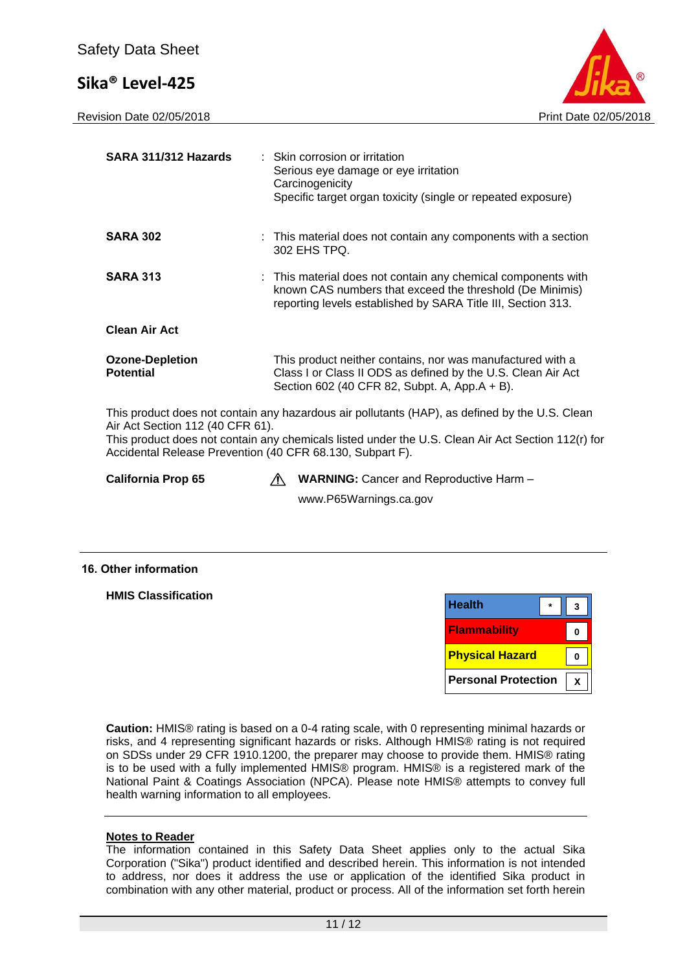Revision Date 02/05/2018 **Print Date 02/05/2018** Print Date 02/05/2018



**0**

**0**

**X**

| SARA 311/312 Hazards                                                                                                               | : Skin corrosion or irritation<br>Serious eye damage or eye irritation<br>Carcinogenicity<br>Specific target organ toxicity (single or repeated exposure)                                 |  |  |
|------------------------------------------------------------------------------------------------------------------------------------|-------------------------------------------------------------------------------------------------------------------------------------------------------------------------------------------|--|--|
| <b>SARA 302</b>                                                                                                                    | : This material does not contain any components with a section<br>302 EHS TPQ.                                                                                                            |  |  |
| <b>SARA 313</b>                                                                                                                    | : This material does not contain any chemical components with<br>known CAS numbers that exceed the threshold (De Minimis)<br>reporting levels established by SARA Title III, Section 313. |  |  |
| <b>Clean Air Act</b>                                                                                                               |                                                                                                                                                                                           |  |  |
| <b>Ozone-Depletion</b><br><b>Potential</b>                                                                                         | This product neither contains, nor was manufactured with a<br>Class I or Class II ODS as defined by the U.S. Clean Air Act<br>Section 602 (40 CFR 82, Subpt. A, App.A + B).               |  |  |
| This product does not contain any hazardous air pollutants (HAP), as defined by the U.S. Clean<br>Air Act Section 112 (40 CFR 61). |                                                                                                                                                                                           |  |  |

This product does not contain any chemicals listed under the U.S. Clean Air Act Section 112(r) for Accidental Release Prevention (40 CFR 68.130, Subpart F).

**California Prop 65 WARNING:** Cancer and Reproductive Harm –

www.P65Warnings.ca.gov

#### **16. Other information**

**HMIS Classification Caution:** HMIS® rating is based on a 0-4 rating scale, with 0 representing minimal hazards or **Physical Hazard Flammability Personal Protection Health \* 3**

risks, and 4 representing significant hazards or risks. Although HMIS® rating is not required on SDSs under 29 CFR 1910.1200, the preparer may choose to provide them. HMIS® rating is to be used with a fully implemented HMIS® program. HMIS® is a registered mark of the National Paint & Coatings Association (NPCA). Please note HMIS® attempts to convey full health warning information to all employees.

#### **Notes to Reader**

The information contained in this Safety Data Sheet applies only to the actual Sika Corporation ("Sika") product identified and described herein. This information is not intended to address, nor does it address the use or application of the identified Sika product in combination with any other material, product or process. All of the information set forth herein